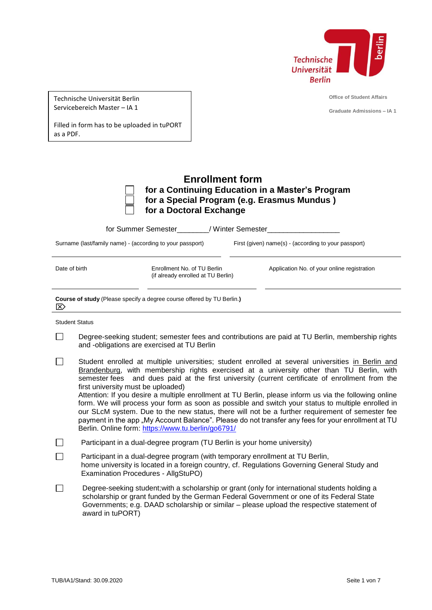

|  | Technische Universität Berlin |  |
|--|-------------------------------|--|
|  | Servicebereich Master – IA 1  |  |

**Office of Student Affairs**

**Graduate Admissions – IA 1**

Filled in form has to be uploaded in tuPORT as a PDF.

| <b>Enrollment form</b>                           |
|--------------------------------------------------|
| for a Continuing Education in a Master's Program |
| for a Special Program (e.g. Erasmus Mundus)      |
| for a Doctoral Exchange                          |

|                                                           | for Summer Semester The Minter Semester                                       |                                                      |
|-----------------------------------------------------------|-------------------------------------------------------------------------------|------------------------------------------------------|
| Surname (last/family name) - (according to your passport) |                                                                               | First (given) name(s) - (according to your passport) |
|                                                           |                                                                               |                                                      |
| Date of birth                                             | Enrollment No. of TU Berlin<br>(if already enrolled at TU Berlin)             | Application No. of your online registration          |
|                                                           |                                                                               |                                                      |
| $\mathbb{E}$                                              | <b>Course of study</b> (Please specify a degree course offered by TU Berlin.) |                                                      |
| <b>Student Status</b>                                     |                                                                               |                                                      |

- $\Box$ Degree-seeking student; semester fees and contributions are paid at TU Berlin, membership rights and -obligations are exercised at TU Berlin
- $\Box$ Student enrolled at multiple universities; student enrolled at several universities in Berlin and Brandenburg, with membership rights exercised at a university other than TU Berlin, with semester fees and dues paid at the first university (current certificate of enrollment from the first university must be uploaded)

Attention: If you desire a multiple enrollment at TU Berlin, please inform us via the following online form. We will process your form as soon as possible and switch your status to multiple enrolled in our SLcM system. Due to the new status, there will not be a further requirement of semester fee payment in the app "My Account Balance". Please do not transfer any fees for your enrollment at TU Berlin. Online form:<https://www.tu.berlin/go6791/>

- $\Box$ Participant in a dual-degree program (TU Berlin is your home university)
- $\Box$ Participant in a dual-degree program (with temporary enrollment at TU Berlin, home university is located in a foreign country, cf. Regulations Governing General Study and Examination Procedures - AllgStuPO)
- Degree-seeking student;with a scholarship or grant (only for international students holding a  $\Box$ scholarship or grant funded by the German Federal Government or one of its Federal State Governments; e.g. DAAD scholarship or similar – please upload the respective statement of award in tuPORT)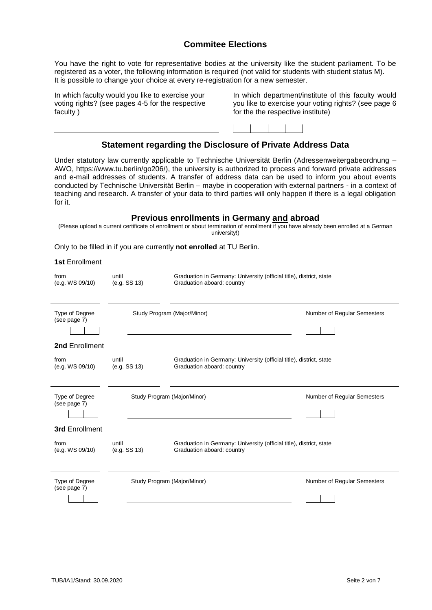## **Commitee Elections**

You have the right to vote for representative bodies at the university like the student parliament. To be registered as a voter, the following information is required (not valid for students with student status M). It is possible to change your choice at every re-registration for a new semester.

In which faculty would you like to exercise your voting rights? (see pages 4-5 for the respective faculty )

In which department/institute of this faculty would you like to exercise your voting rights? (see page 6 for the the respective institute)

## **Statement regarding the Disclosure of Private Address Data**

Under statutory law currently applicable to Technische Universität Berlin (Adressenweitergabeordnung – AWO, https://www.tu.berlin/go206/), the university is authorized to process and forward private addresses and e-mail addresses of students. A transfer of address data can be used to inform you about events conducted by Technische Universität Berlin – maybe in cooperation with external partners - in a context of teaching and research. A transfer of your data to third parties will only happen if there is a legal obligation for it.

#### **Previous enrollments in Germany and abroad**

(Please upload a current certificate of enrollment or about termination of enrollment if you have already been enrolled at a German university!)

Only to be filled in if you are currently **not enrolled** at TU Berlin.

**1st** Enrollment

| from<br>(e.g. WS 09/10)        | until<br>(e.g. SS 13)       | Graduation in Germany: University (official title), district, state<br>Graduation aboard: country |                             |
|--------------------------------|-----------------------------|---------------------------------------------------------------------------------------------------|-----------------------------|
| Type of Degree<br>(see page 7) | Study Program (Major/Minor) |                                                                                                   | Number of Regular Semesters |
| 2nd Enrollment                 |                             |                                                                                                   |                             |
| from<br>(e.g. WS 09/10)        | until<br>(e.g. SS 13)       | Graduation in Germany: University (official title), district, state<br>Graduation aboard: country |                             |
| Type of Degree<br>(see page 7) | Study Program (Major/Minor) |                                                                                                   | Number of Regular Semesters |
| <b>3rd Enrollment</b>          |                             |                                                                                                   |                             |
| from<br>(e.g. WS 09/10)        | until<br>(e.g. SS 13)       | Graduation in Germany: University (official title), district, state<br>Graduation aboard: country |                             |
| Type of Degree<br>(see page 7) | Study Program (Major/Minor) |                                                                                                   | Number of Regular Semesters |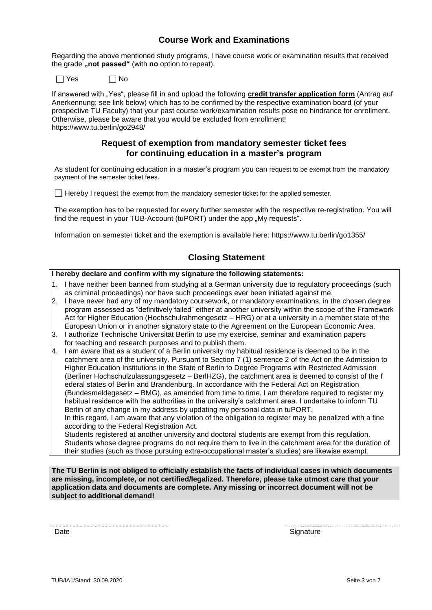## **Course Work and Examinations**

Regarding the above mentioned study programs, I have course work or examination results that received the grade "not passed" (with no option to repeat).

 $\Box$  Yes  $\Box$  No

If answered with "Yes", please fill in and upload the following **credit transfer application form** (Antrag auf Anerkennung; see link below) which has to be confirmed by the respective examination board (of your prospective TU Faculty) that your past course work/examination results pose no hindrance for enrollment. Otherwise, please be aware that you would be excluded from enrollment! https://www.tu.berlin/go2948/

### **Request of exemption from mandatory semester ticket fees for continuing education in a master's program**

As student for continuing education in a master's program you can request to be exempt from the mandatory payment of the semester ticket fees.

 $\Box$  Hereby I request the exempt from the mandatory semester ticket for the applied semester.

The exemption has to be requested for every further semester with the respective re-registration. You will find the request in your TUB-Account (tuPORT) under the app "My requests".

Information on semester ticket and the exemption is available here: https://www.tu.berlin/go1355/

## **Closing Statement**

### **I hereby declare and confirm with my signature the following statements:**

- 1. I have neither been banned from studying at a German university due to regulatory proceedings (such as criminal proceedings) nor have such proceedings ever been initiated against me.
- 2. I have never had any of my mandatory coursework, or mandatory examinations, in the chosen degree program assessed as "definitively failed" either at another university within the scope of the Framework Act for Higher Education (Hochschulrahmengesetz – HRG) or at a university in a member state of the European Union or in another signatory state to the Agreement on the European Economic Area.
- 3. I authorize Technische Universität Berlin to use my exercise, seminar and examination papers for teaching and research purposes and to publish them.
- 4. I am aware that as a student of a Berlin university my habitual residence is deemed to be in the catchment area of the university. Pursuant to Section 7 (1) sentence 2 of the Act on the Admission to Higher Education Institutions in the State of Berlin to Degree Programs with Restricted Admission (Berliner Hochschulzulassungsgesetz – BerlHZG), the catchment area is deemed to consist of the f ederal states of Berlin and Brandenburg. In accordance with the Federal Act on Registration (Bundesmeldegesetz – BMG), as amended from time to time, I am therefore required to register my habitual residence with the authorities in the university's catchment area. I undertake to inform TU Berlin of any change in my address by updating my personal data in tuPORT.

In this regard, I am aware that any violation of the obligation to register may be penalized with a fine according to the Federal Registration Act.

Students registered at another university and doctoral students are exempt from this regulation. Students whose degree programs do not require them to live in the catchment area for the duration of their studies (such as those pursuing extra-occupational master's studies) are likewise exempt.

**The TU Berlin is not obliged to officially establish the facts of individual cases in which documents are missing, incomplete, or not certified/legalized. Therefore, please take utmost care that your application data and documents are complete. Any missing or incorrect document will not be subject to additional demand!**

Date Signature Signature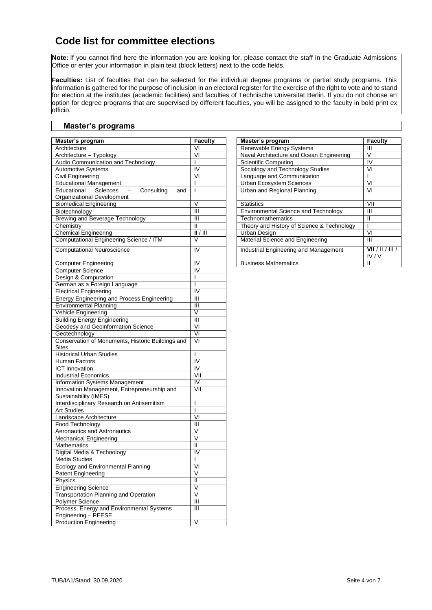## **Code list for committee elections**

**Note:** If you cannot find here the information you are looking for, please contact the staff in the Graduate Admissions Office or enter your information in plain text (block letters) next to the code fields.

**Faculties:** List of faculties that can be selected for the individual degree programs or partial study programs. This information is gathered for the purpose of inclusion in an electoral register for the exercise of the right to vote and to stand for election at the institutes (academic facilities) and faculties of Technische Universität Berlin. If you do not choose an option for degree programs that are supervised by different faculties, you will be assigned to the faculty in bold print ex officio.

### **Master's programs**

| Master's program                                                         | <b>Faculty</b>                | Master's program                           | Faculty                  |
|--------------------------------------------------------------------------|-------------------------------|--------------------------------------------|--------------------------|
| Architecture                                                             | VI                            | Renewable Energy Systems                   | Ш                        |
| Architecture - Typology                                                  | VI                            | Naval Architecture and Ocean Engineering   | $\vee$                   |
| Audio Communication and Technology                                       | $\mathsf{I}$                  | <b>Scientific Computing</b>                | $\overline{N}$           |
| <b>Automotive Systems</b>                                                | IV                            | Sociology and Technology Studies           | VI                       |
| Civil Engineering                                                        | $\overline{\mathsf{v}}$       | Language and Communication                 | $\overline{1}$           |
| <b>Educational Management</b>                                            |                               | Urban Ecosystem Sciences                   | VI                       |
| Consulting<br>Educational<br>Sciences<br>$\overline{\phantom{a}}$<br>and |                               | Urban and Regional Planning                | VI                       |
| Organizational Development                                               |                               |                                            |                          |
| <b>Biomedical Engineering</b>                                            | $\vee$                        | <b>Statistics</b>                          | VII                      |
| Biotechnology                                                            | $\overline{\mathbb{I}}$       | Environmental Science and Technology       | $\overline{\mathbb{H}}$  |
| <b>Brewing and Beverage Technology</b>                                   | $\mathbf{H}$                  | Technomathematics                          | $\mathbf{H}$             |
| Chemistry                                                                | Ш                             | Theory and History of Science & Technology | $\overline{1}$           |
| <b>Chemical Engineering</b>                                              | $\overline{  }/\overline{  }$ | <b>Urban Design</b>                        | VI                       |
| <b>Computational Engineering Science / ITM</b>                           | V                             | Material Science and Engineering           | Ш                        |
|                                                                          |                               |                                            |                          |
| <b>Computational Neuroscience</b>                                        | IV                            | Industrial Engineering and Management      | VII / II / III /<br>IV/V |
| <b>Computer Engineering</b>                                              | IV                            | <b>Business Mathematics</b>                | $\mathbf{H}$             |
| <b>Computer Science</b>                                                  | IV                            |                                            |                          |
| Design & Computation                                                     |                               |                                            |                          |
| German as a Foreign Language                                             |                               |                                            |                          |
| <b>Electrical Engineering</b>                                            | $\overline{N}$                |                                            |                          |
| Energy Engineering and Process Engineering                               | Ш                             |                                            |                          |
| <b>Environmental Planning</b>                                            | Ш                             |                                            |                          |
| Vehicle Engineering                                                      | $\vee$                        |                                            |                          |
| <b>Building Energy Engineering</b>                                       | $\overline{\mathsf{III}}$     |                                            |                          |
| Geodesy and Geoinformation Science                                       | VI                            |                                            |                          |
| Geotechnology                                                            | $\overline{VI}$               |                                            |                          |
| Conservation of Monuments, Historic Buildings and<br><b>Sites</b>        | VI                            |                                            |                          |
| <b>Historical Urban Studies</b>                                          | $\mathbf{I}$                  |                                            |                          |
| Human Factors                                                            | $\overline{N}$                |                                            |                          |
| <b>ICT</b> Innovation                                                    | $\overline{\mathsf{I}}$       |                                            |                          |
| <b>Industrial Economics</b>                                              | $\overline{\mathsf{V}}$       |                                            |                          |
| Information Systems Management                                           | IV                            |                                            |                          |
| Innovation Management, Entrepreneurship and                              | VII                           |                                            |                          |
| Sustainability (IMES)                                                    |                               |                                            |                          |
| Interdisciplinary Research on Antisemitism                               | $\mathbf{I}$                  |                                            |                          |
| <b>Art Studies</b>                                                       |                               |                                            |                          |
| Landscape Architecture                                                   | $\overline{\mathsf{v}}$       |                                            |                          |
| Food Technology                                                          | Ш                             |                                            |                          |
| Aeronautics and Astronautics                                             | V                             |                                            |                          |
| <b>Mechanical Engineering</b>                                            | $\vee$                        |                                            |                          |
| <b>Mathematics</b>                                                       | $\mathsf{II}$                 |                                            |                          |
| Digital Media & Technology                                               | IV                            |                                            |                          |
| Media Studies                                                            |                               |                                            |                          |
| <b>Ecology and Environmental Planning</b>                                | $\overline{V}$                |                                            |                          |
| <b>Patent Engineering</b>                                                | V                             |                                            |                          |
| Physics                                                                  | $\mathbf{H}$                  |                                            |                          |
| <b>Engineering Science</b>                                               | $\vee$                        |                                            |                          |
| <b>Transportation Planning and Operation</b>                             | $\overline{\vee}$             |                                            |                          |
| Polymer Science                                                          | $\mathbf{III}$                |                                            |                          |
| Process, Energy and Environmental Systems                                | $\mathbf{III}$                |                                            |                          |
| Engineering - PEESE                                                      |                               |                                            |                          |
| <b>Production Engineering</b>                                            | V                             |                                            |                          |
|                                                                          |                               |                                            |                          |

| Faculty                 | Master's program                            | <b>Faculty</b>  |
|-------------------------|---------------------------------------------|-----------------|
| ٧I                      | Renewable Energy Systems                    | Ш               |
| VI                      | Naval Architecture and Ocean Engineering    |                 |
|                         | Scientific Computing                        | I٧              |
| ।<br>।∨                 | Sociology and Technology Studies            | VI              |
| VI                      | Language and Communication                  |                 |
|                         | <b>Urban Ecosystem Sciences</b>             | VI              |
| ī                       | Urban and Regional Planning                 | VI              |
| $\overline{\mathsf{v}}$ | <b>Statistics</b>                           | VII             |
| Ш                       | <b>Environmental Science and Technology</b> | Ш               |
| Ш                       | Technomathematics                           |                 |
| $\overline{\mathsf{I}}$ | Theory and History of Science & Technology  |                 |
| /                       | Urban Design                                | VI              |
| V                       | Material Science and Engineering            | Ш               |
| ΪV                      | Industrial Engineering and Management       | VII /<br>IV / V |
| IV                      | <b>Business Mathematics</b>                 |                 |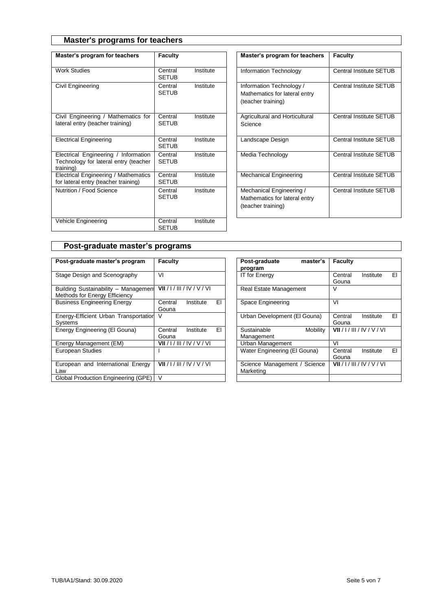## **Master's programs for teachers**

| Master's program for teachers                                                              | Faculty                 |           | Master's program for teachers                                                   | <b>Faculty</b> |
|--------------------------------------------------------------------------------------------|-------------------------|-----------|---------------------------------------------------------------------------------|----------------|
| <b>Work Studies</b>                                                                        | Central<br><b>SETUB</b> | Institute | Information Technology                                                          | Central        |
| Civil Engineering                                                                          | Central<br><b>SETUB</b> | Institute | Information Technology /<br>Mathematics for lateral entry<br>(teacher training) | Central        |
| Civil Engineering / Mathematics for<br>lateral entry (teacher training)                    | Central<br><b>SETUB</b> | Institute | Agricultural and Horticultural<br>Science                                       | Central        |
| <b>Electrical Engineering</b>                                                              | Central<br><b>SETUB</b> | Institute | Landscape Design                                                                | Central        |
| Electrical Engineering / Information<br>Technology for lateral entry (teacher<br>training) | Central<br><b>SETUB</b> | Institute | Media Technology                                                                | Central        |
| Electrical Engineering / Mathematics<br>for lateral entry (teacher training)               | Central<br><b>SETUB</b> | Institute | <b>Mechanical Engineering</b>                                                   | Central        |
| Nutrition / Food Science                                                                   | Central<br><b>SETUB</b> | Institute | Mechanical Engineering /<br>Mathematics for lateral entry<br>(teacher training) | Central        |
| Vehicle Engineering                                                                        | Central<br><b>SETUB</b> | Institute |                                                                                 |                |

| Master's program for teachers                                                   | <b>Faculty</b>                 |
|---------------------------------------------------------------------------------|--------------------------------|
| Information Technology                                                          | <b>Central Institute SETUB</b> |
| Information Technology /<br>Mathematics for lateral entry<br>(teacher training) | Central Institute SETUB        |
| Agricultural and Horticultural<br>Science                                       | Central Institute SFTUB        |
| Landscape Design                                                                | Central Institute SETUB        |
| Media Technology                                                                | Central Institute SETUB        |
| Mechanical Engineering                                                          | <b>Central Institute SETUB</b> |
| Mechanical Engineering /<br>Mathematics for lateral entry<br>(teacher training) | Central Institute SETUB        |

## **Post-graduate master's programs**

| Post-graduate master's program                                        | Faculty                       |    | Post-graduate<br>master's<br>program      | <b>Faculty</b>                      |
|-----------------------------------------------------------------------|-------------------------------|----|-------------------------------------------|-------------------------------------|
| Stage Design and Scenography                                          | VI                            |    | <b>IT for Energy</b>                      | EI<br>Central<br>Institute<br>Gouna |
| Building Sustainability - Management<br>Methods for Energy Efficiency | VII / I / III / IV / V / VI   |    | <b>Real Estate Management</b>             |                                     |
| <b>Business Engineering Energy</b>                                    | Central<br>Institute<br>Gouna | EI | Space Engineering                         | VI                                  |
| Energy-Efficient Urban Transportation<br>Systems                      | V                             |    | Urban Development (El Gouna)              | EI<br>Central<br>Institute<br>Gouna |
| Energy Engineering (El Gouna)                                         | Central<br>Institute<br>Gouna | EI | Sustainable<br>Mobility<br>Management     | VII / I / III / IV / V / VI         |
| Energy Management (EM)                                                | VII / I / III / IV / V / VI   |    | Urban Management                          | VI                                  |
| <b>European Studies</b>                                               |                               |    | Water Engineering (El Gouna)              | EI<br>Central<br>Institute<br>Gouna |
| European and International Energy<br>Law                              | VII / I / III / IV / V / VI   |    | Science Management / Science<br>Marketing | VII / I / III / IV / V / VI         |
| Global Production Engineering (GPE)                                   | $\vee$                        |    |                                           |                                     |

| Faculty                             | Post-graduate<br>master's<br>program         | <b>Faculty</b>                      |
|-------------------------------------|----------------------------------------------|-------------------------------------|
| VI                                  | <b>IT for Energy</b>                         | EI<br>Central<br>Institute<br>Gouna |
| VII / I / III / IV / V / VI         | <b>Real Estate Management</b>                | v                                   |
| Central<br>EI<br>Institute<br>Gouna | Space Engineering                            | V١                                  |
| V                                   | Urban Development (El Gouna)                 | FΙ<br>Central<br>Institute<br>Gouna |
| Central<br>ΕL<br>Institute<br>Gouna | Sustainable<br><b>Mobility</b><br>Management | VII / I / III / IV / V / VI         |
| VII / I / III / IV / V / VI         | Urban Management                             | V١                                  |
|                                     | Water Engineering (El Gouna)                 | FI<br>Central<br>Institute<br>Gouna |
| VII / I / III / IV / V / VI         | Science Management / Science<br>Marketing    | VII / I / III / IV / V / VI         |
| $\overline{\mathsf{v}}$             |                                              |                                     |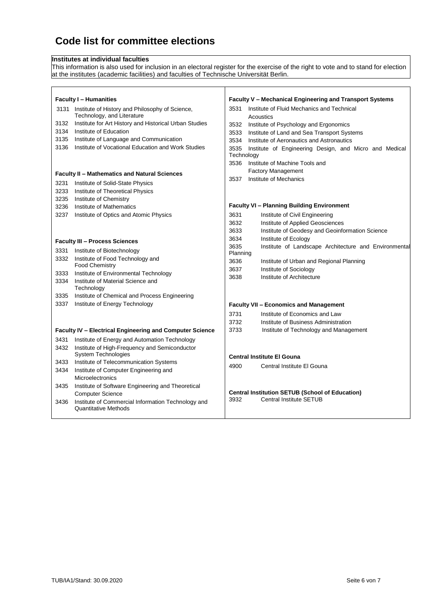# **Code list for committee elections**

#### **Institutes at individual faculties**

This information is also used for inclusion in an electoral register for the exercise of the right to vote and to stand for election at the institutes (academic facilities) and faculties of Technische Universität Berlin.

|      | <b>Faculty I - Humanities</b>                                                      |                    | Faculty V - Mechanical Engineering and Transport Systems |
|------|------------------------------------------------------------------------------------|--------------------|----------------------------------------------------------|
|      | 3131 Institute of History and Philosophy of Science,<br>Technology, and Literature | 3531               | Institute of Fluid Mechanics and Technical<br>Acoustics  |
| 3132 | Institute for Art History and Historical Urban Studies                             | 3532               | Institute of Psychology and Ergonomics                   |
| 3134 | Institute of Education                                                             | 3533               | Institute of Land and Sea Transport Systems              |
| 3135 | Institute of Language and Communication                                            | 3534               | Institute of Aeronautics and Astronautics                |
| 3136 | Institute of Vocational Education and Work Studies                                 | 3535<br>Technology | Institute of Engineering Design, and Micro and Medical   |
|      |                                                                                    | 3536               | Institute of Machine Tools and                           |
|      | <b>Faculty II - Mathematics and Natural Sciences</b>                               |                    | <b>Factory Management</b>                                |
| 3231 | Institute of Solid-State Physics                                                   | 3537               | Institute of Mechanics                                   |
| 3233 | Institute of Theoretical Physics                                                   |                    |                                                          |
| 3235 | Institute of Chemistry                                                             |                    |                                                          |
| 3236 | Institute of Mathematics                                                           |                    | <b>Faculty VI - Planning Building Environment</b>        |
| 3237 | Institute of Optics and Atomic Physics                                             | 3631               | Institute of Civil Engineering                           |
|      |                                                                                    | 3632               | Institute of Applied Geosciences                         |
|      |                                                                                    | 3633               | Institute of Geodesy and Geoinformation Science          |
|      | <b>Faculty III - Process Sciences</b>                                              | 3634               | Institute of Ecology                                     |
| 3331 | Institute of Biotechnology                                                         | 3635<br>Planning   | Institute of Landscape Architecture and Environmental    |
| 3332 | Institute of Food Technology and                                                   | 3636               | Institute of Urban and Regional Planning                 |
|      | <b>Food Chemistry</b>                                                              | 3637               | Institute of Sociology                                   |
| 3333 | Institute of Environmental Technology                                              | 3638               | Institute of Architecture                                |
| 3334 | Institute of Material Science and<br>Technology                                    |                    |                                                          |
| 3335 | Institute of Chemical and Process Engineering                                      |                    |                                                          |
| 3337 | Institute of Energy Technology                                                     |                    | <b>Faculty VII - Economics and Management</b>            |
|      |                                                                                    | 3731               | Institute of Economics and Law                           |
|      |                                                                                    | 3732               | Institute of Business Administration                     |
|      | Faculty IV - Electrical Engineering and Computer Science                           | 3733               | Institute of Technology and Management                   |
| 3431 | Institute of Energy and Automation Technology                                      |                    |                                                          |
| 3432 | Institute of High-Frequency and Semiconductor                                      |                    |                                                          |
|      | System Technologies                                                                |                    | <b>Central Institute El Gouna</b>                        |
| 3433 | Institute of Telecommunication Systems                                             | 4900               | Central Institute El Gouna                               |
| 3434 | Institute of Computer Engineering and<br>Microelectronics                          |                    |                                                          |
| 3435 | Institute of Software Engineering and Theoretical                                  |                    |                                                          |
|      | <b>Computer Science</b>                                                            |                    | <b>Central Institution SETUB (School of Education)</b>   |
| 3436 | Institute of Commercial Information Technology and                                 | 3932               | Central Institute SETUB                                  |
|      | <b>Quantitative Methods</b>                                                        |                    |                                                          |
|      |                                                                                    |                    |                                                          |